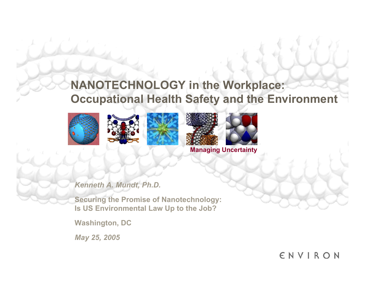### **NANOTECHNOLOGY in the Workplace: Occupational Health Safety and the Environment**









**Managing Uncertainty**

*Kenneth A. Mundt, Ph.D.*

**Securing the Promise of Nanotechnology: Is US Environmental Law Up to the Job?**

**Washington, DC**

*May 25, 2005*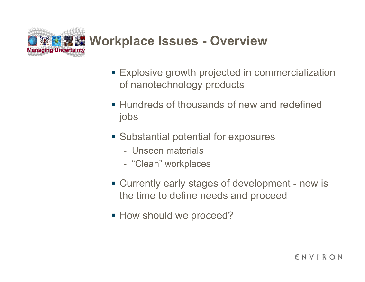

- Explosive growth projected in commercialization of nanotechnology products
- **Hundreds of thousands of new and redefined** jobs
- **Substantial potential for exposures** 
	- Unseen materials
	- -"Clean" workplaces
- Currently early stages of development now is the time to define needs and proceed
- **How should we proceed?**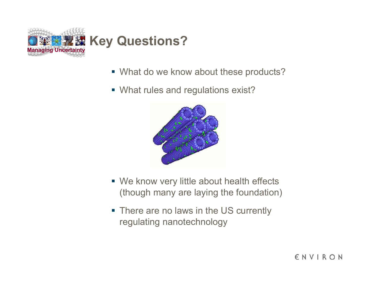

- What do we know about these products?
- What rules and regulations exist?



- We know very little about health effects (though many are laying the foundation)
- **There are no laws in the US currently** regulating nanotechnology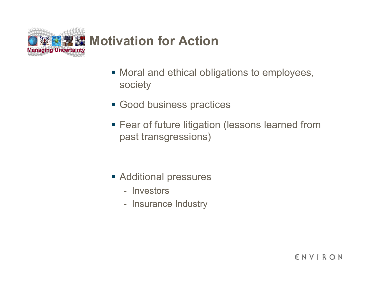

- Moral and ethical obligations to employees, society
- Good business practices
- **Fear of future litigation (lessons learned from** past transgressions)

- Additional pressures
	- Investors
	- -Insurance Industry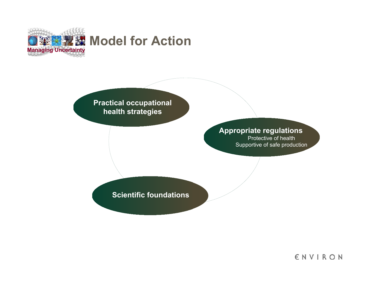

#### **Practical occupational health strategies**

#### **Appropriate regulations**

Protective of health Supportive of safe production

#### **Scientific foundations**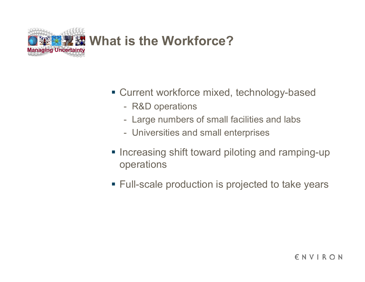

- Current workforce mixed, technology-based
	- R&D operations
	- Large numbers of small facilities and labs
	- -Universities and small enterprises
- **Increasing shift toward piloting and ramping-up** operations
- Full-scale production is projected to take years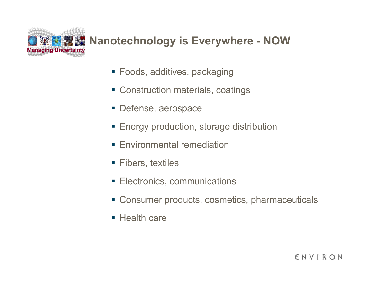

### **XX** Nanotechnology is Everywhere - NOW

- Foods, additives, packaging
- Construction materials, coatings
- **Defense, aerospace**
- **Energy production, storage distribution**
- **Environmental remediation**
- Fibers, textiles
- **Electronics, communications**
- Consumer products, cosmetics, pharmaceuticals
- Health care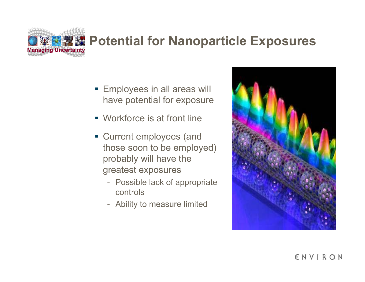# **Managing Uncertainty**<br>Managing Uncertainty

- **Employees in all areas will** have potential for exposure
- Workforce is at front line
- **Current employees (and** those soon to be employed) probably will have the greatest exposures
	- Possible lack of appropriate controls
	- Ability to measure limited

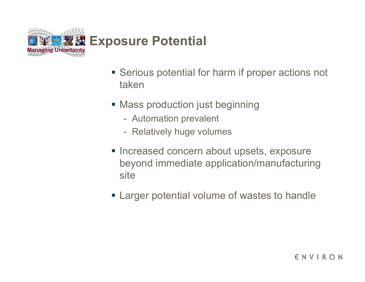

- **Serious potential for harm if proper actions not** taken
- Mass production just beginning
	- Automation prevalent
	- $\mathcal{L}_{\mathcal{A}}$ Relatively huge volumes
- **Increased concern about upsets, exposure** beyond immediate application/manufacturing site
- **Example 2 Figure 1** Larger potential volume of wastes to handle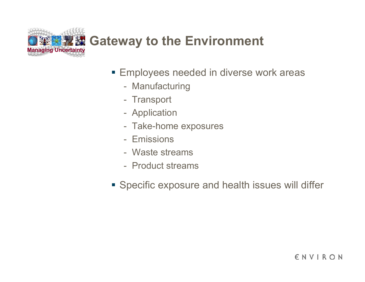

- **Employees needed in diverse work areas** 
	- Manufacturing
	- Transport
	- -Application
	- Take-home exposures
	- Emissions
	- Waste streams
	- Product streams
- **Specific exposure and health issues will differ**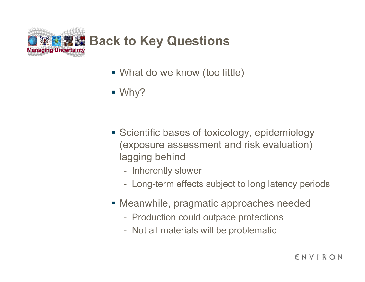

- What do we know (too little)
- Why?

- **Scientific bases of toxicology, epidemiology** (exposure assessment and risk evaluation) lagging behind
	- Inherently slower
	- -Long-term effects subject to long latency periods
- Meanwhile, pragmatic approaches needed
	- Production could outpace protections
	- Not all materials will be problematic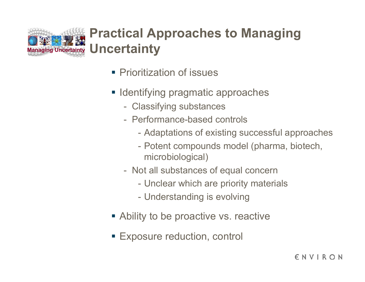

## **Managing Uncertainty Uncertainty Practical Approaches to Managing**

- **Prioritization of issues**
- **Identifying pragmatic approaches** 
	- Classifying substances
	- Performance-based controls
		- -Adaptations of existing successful approaches
		- Potent compounds model (pharma, biotech, microbiological)
	- Not all substances of equal concern
		- -Unclear which are priority materials
		- Understanding is evolving
- Ability to be proactive vs. reactive
- Exposure reduction, control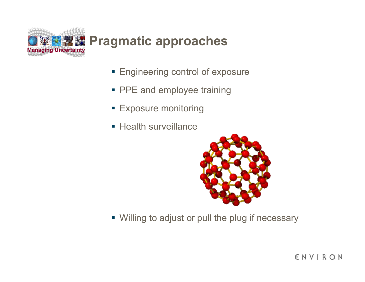

- **Engineering control of exposure**
- **PPE and employee training**
- **Exposure monitoring**
- Health surveillance



Willing to adjust or pull the plug if necessary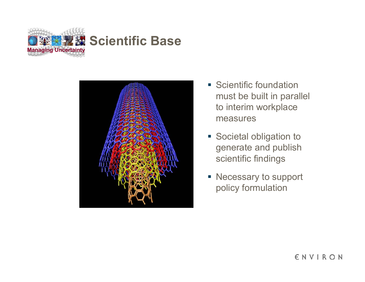



- **Scientific foundation** must be built in parallel to interim workplace measures
- **Societal obligation to** generate and publish scientific findings
- Necessary to support policy formulation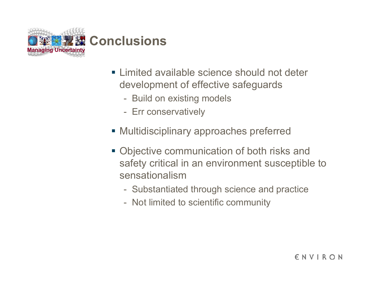

- **Example 20 Example 10 Fearth Proor Limited available science should not deter** development of effective safeguards
	- Build on existing models
	- $\mathcal{L}_{\mathcal{A}}$ Err conservatively
- Multidisciplinary approaches preferred
- Objective communication of both risks and safety critical in an environment susceptible to sensationalism
	- Substantiated through science and practice
	- $\mathcal{L}_{\mathcal{A}}$ Not limited to scientific community